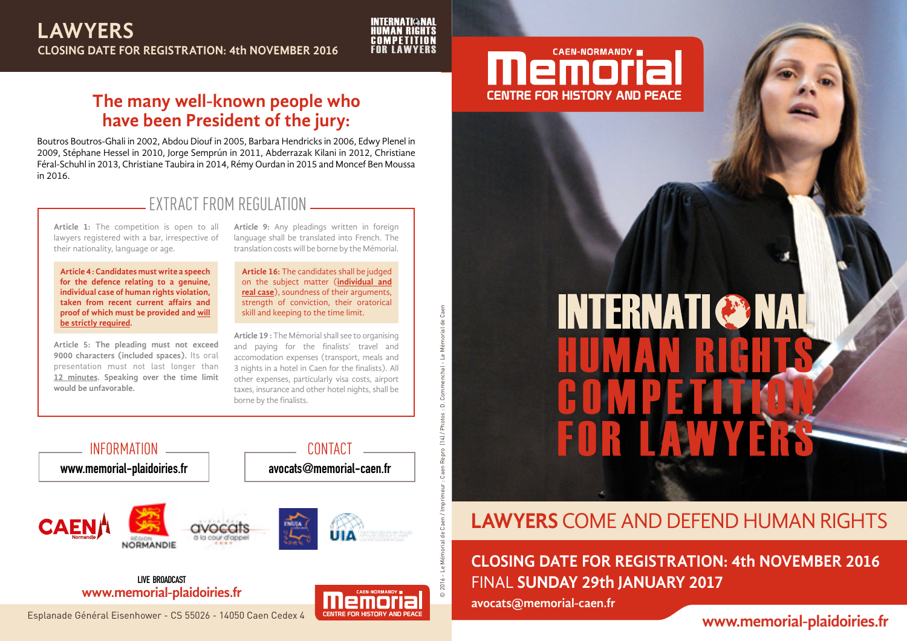

© 2016 - Le Mémorial de Caen / Imprimeur : Caen Repro (14) / Photos : D. Commenchal - Le Mémorial de Caen

 $(14)$  / Photos : D.

Caen

Commenchal - Le Mémorial de

## **The many well-known people who have been President of the jury:**

Boutros Boutros-Ghali in 2002, Abdou Diouf in 2005, Barbara Hendricks in 2006, Edwy Plenel in 2009, Stéphane Hessel in 2010, Jorge Semprún in 2011, Abderrazak Kilani in 2012, Christiane Féral-Schuhl in 2013, Christiane Taubira in 2014, Rémy Ourdan in 2015 and Moncef Ben Moussa in 2016.

#### EXTRACT FROM REGULATION

**Article 1:** The competition is open to all lawyers registered with a bar, irrespective of their nationality, language or age.

**Article 4 : Candidates must write a speech for the defence relating to a genuine, individual case of human rights violation, taken from recent current affairs and proof of which must be provided and will be strictly required.**

**Article 5: The pleading must not exceed 9000 characters (included spaces).** Its oral presentation must not last longer than **12 minutes. Speaking over the time limit would be unfavorable.**

**Article 9:** Any pleadings written in foreign language shall be translated into French. The translation costs will be borne by the Mémorial.

**Article 16:** The candidates shall be judged on the subject matter (**individual and real case**), soundness of their arguments, strength of conviction, their oratorical skill and keeping to the time limit.

**Article 19 :** The Mémorial shall see to organising and paying for the finalists' travel and accomodation expenses (transport, meals and 3 nights in a hotel in Caen for the finalists). All other expenses, particularly visa costs, airport taxes, insurance and other hotel nights, shall be borne by the finalists.



**www.memorial-plaidoiries.fr LIVE BROADCAST**





# **INTERNATI & NAI**

# **LAWYERS** COME AND DEFEND HUMAN RIGHTS

FINAL **SUNDAY 29th JANUARY 2017 CLOSING DATE FOR REGISTRATION: 4th NOVEMBER 2016** 

**avocats@memorial-caen.fr**

#### **www.memorial-plaidoiries.fr**